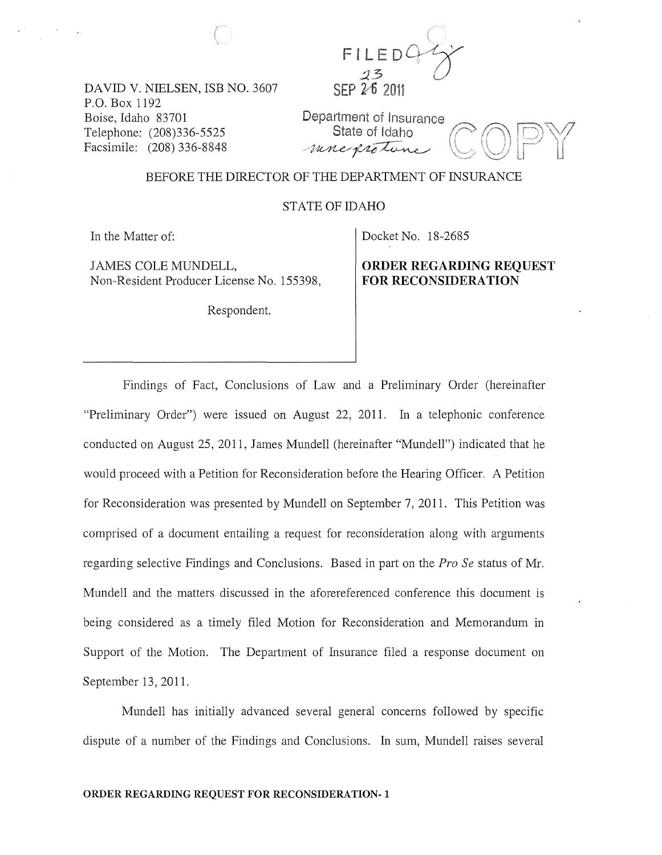

DAVID V. NIELSEN, ISB NO. 3607 P.O. Box 1192 Boise, Idaho 83701 Telephone: (208)336-5525 Facsimile: (208) 336-8848

Department of Insurance State of Idaho mnexisten

### BEFORE THE DIRECTOR OF THE DEPARTMENT OF INSURANCE

STATE OF IDAHO

In the Matter of:

JAMES COLE MUNDELL, Non-Resident Producer License No. 155398,

Respondent.

Docket No. 18-2685

ORDER REGARDING REQUEST FOR RECONSIDERATION

Findings of Fact, Conclusions of Law and a Preliminary Order (hereinafter "Preliminary Order") were issued on August 22, 2011. In a telephonic conference conducted on August 25, 2011, James Mundell (hereinafter "Mundell") indicated that he would proceed with a Petition for Reconsideration before the Hearing Officer. A Petition for Reconsideration was presented by Mundell on September 7, 2011. This Petition was comprised of a document entailing a request for reconsideration along with arguments regarding selective Findings and Conclusions. Based in part on the *Pro Se* status of Mr. Mundell and the matters discussed in the aforereferenced conference this document is being considered as a timely filed Motion for Reconsideration and Memorandum in Support of the Motion. The Department of Insurance filed a response document on September 13,2011.

Mundell has initially advanced several general concerns followed by specific dispute of a number of the Findings and Conclusions. In sum, Mundell raises several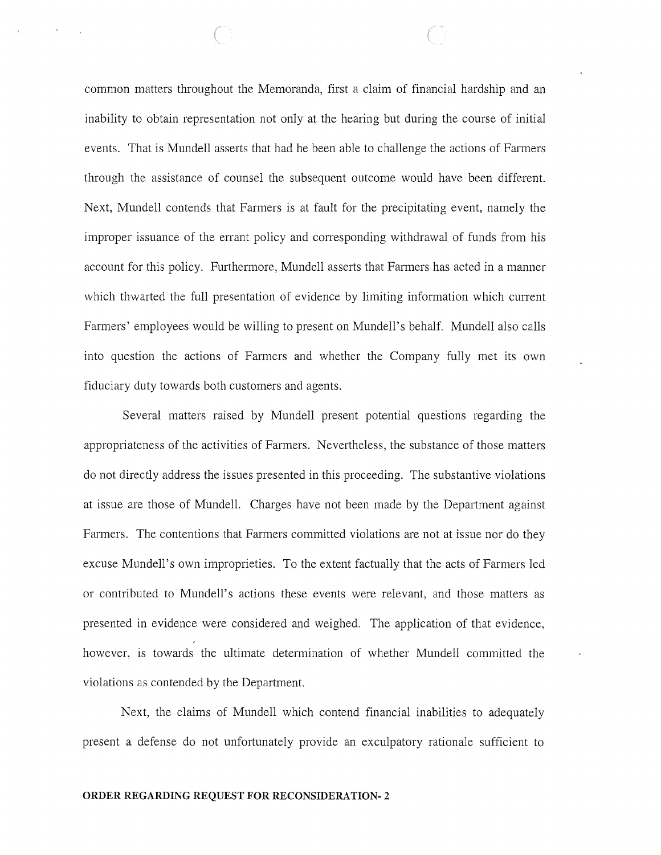common matters throughout the Memoranda, first a claim of financial hardship and an inability to obtain representation not only at the hearing but during the course of initial events. That is Mundell asserts that had he been able to challenge the actions of Farmers through the assistance of counsel the subsequent outcome would have been different. Next, Mundell contends that Farmers is at fault for the precipitating event, namely the improper issuance of the errant policy and corresponding withdrawal of funds from his account for this policy. Furthermore, Mundell asserts that Farmers has acted in a manner which thwarted the full presentation of evidence by limiting information which current Farmers' employees would be willing to present on Mundell's behalf. Mundell also calls into question the actions of Farmers and whether the Company fully met its own fiduciary duty towards both customers and agents.

Several matters raised by Mundell present potential questions regarding the appropriateness of the activities of Farmers. Nevertheless, the substance of those matters do not directly address the issues presented in this proceeding. The substantive violations at issue are those of Mundell. Charges have not been made by the Department against Farmers. The contentions that Farmers committed violations are not at issue nor do they excuse Mundell's own improprieties. To the extent factually that the acts of Farmers led or contributed to Mundell's actions these events were relevant, and those matters as presented in evidence were considered and weighed. The application of that evidence, however, is towards the ultimate determination of whether Mundell committed the violations as contended by the Department.

Next, the claims of Mundell which contend financial inabilities to adequately present a defense do not unfortunately provide an exculpatory rationale sufficient to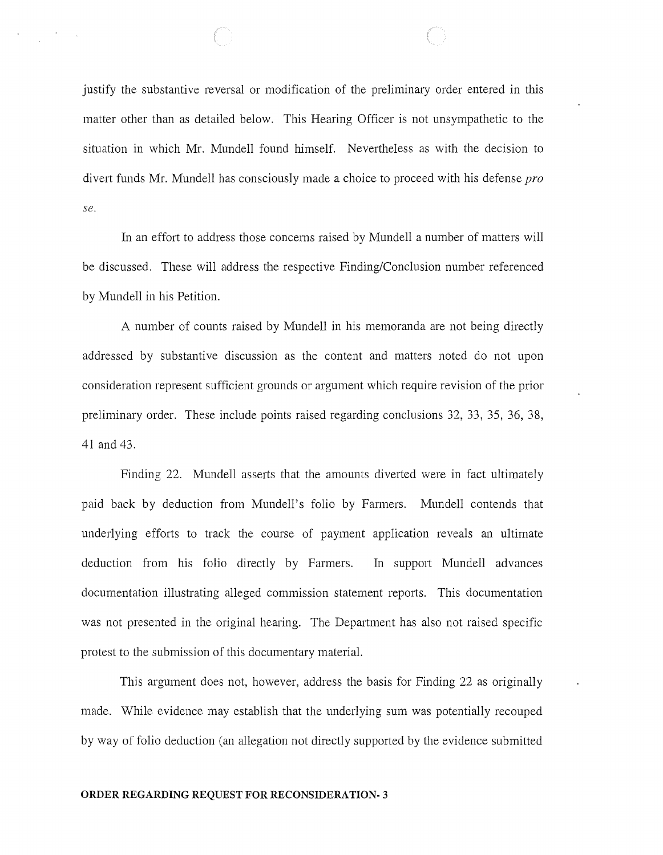justify the substantive reversal or modification of the preliminary order entered in this matter other than as detailed below. This Hearing Officer is not unsympathetic to the situation in which Mr. Mundell found himself. Nevertheless as with the decision to divert funds Mr. Mundell has consciously made a choice to proceed with his defense pro *se.* 

In an effort to address those concerns raised by Mundell a number of matters will be discussed. These will address the respective Finding/Conclusion number referenced by Mundell in his Petition.

A number of counts raised by Mundell in his memoranda are not being directly addressed by substantive discussion as the content and matters noted do not upon consideration represent sufficient grounds or argument which require revision of the prior preliminary order. These include points raised regarding conclusions 32, 33, 35, 36, 38, 41 and 43.

Finding 22. Mundell asserts that the amounts diverted were in fact ultimately paid back by deduction from Mundell's folio by Farmers. Mundell contends that underlying efforts to track the course of payment application reveals an ultimate deduction from his folio directly by Farmers. In support Mundell advances documentation illustrating alleged commission statement reports. This documentation was not presented in the original hearing. The Department has also not raised specific protest to the submission of this documentary material.

This argument does not, however, address the basis for Finding 22 as originally made. While evidence may establish that the underlying sum was potentially recouped by way of folio deduction (an allegation not directly supported by the evidence submitted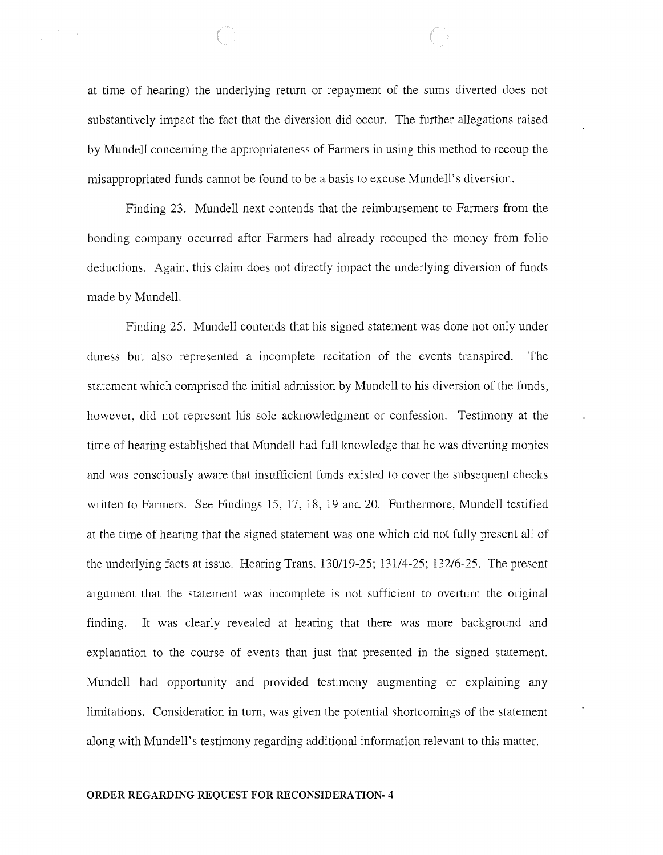at time of hearing) the underlying return or repayment of the sums diverted does not substantively impact the fact that the diversion did occur. The further allegations raised by Mundell concerning the appropriateness of Farmers in using this method to recoup the misappropriated funds cannot be found to be a basis to excuse Mundell's diversion.

Finding 23. Mundell next contends that the reimbursement to Farmers from the bonding company occurred after Farmers had already recouped the money from folio deductions. Again, this claim does not directly impact the underlying diversion of funds made by Mundell.

Finding 25. Mundell contends that his signed statement was done not only under duress but also represented a incomplete recitation of the events transpired. The statement which comprised the initial admission by Mundell to his diversion of the funds, however, did not represent his sole acknowledgment or confession. Testimony at the time of hearing established that Mundell had full knowledge that he was diverting monies and was consciously aware that insufficient funds existed to cover the subsequent checks written to Farmers. See Findings 15, 17, 18, 19 and 20. Furthermore, Mundell testified at the time of hearing that the signed statement was one which did not fully present all of the underlying facts at issue. Hearing Trans. 130/19-25; 131/4-25; 132/6-25. The present argument that the statement was incomplete is not sufficient to overturn the original finding. It was clearly revealed at hearing that there was more background and explanation to the course of events than just that presented in the signed statement. Mundell had opportunity and provided testimony augmenting or explaining any limitations. Consideration in turn, was given the potential shortcomings of the statement along with Mundell's testimony regarding additional information relevant to this matter.

#### **ORDER REGARDING REQUEST FOR RECONSIDERATION- 4**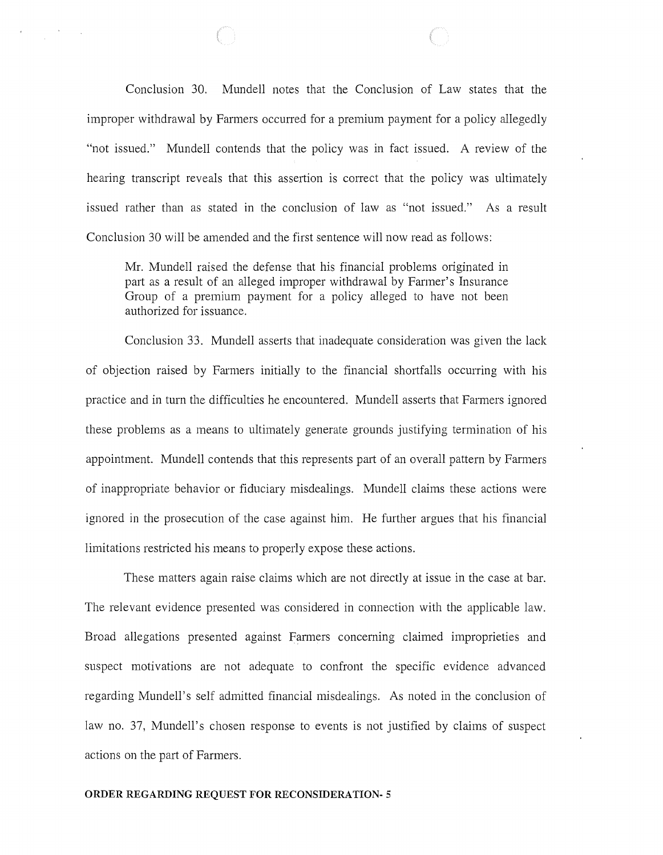Conclusion 30. Mundell notes that the Conclusion of Law states that the improper withdrawal by Farmers occurred for a premium payment for a policy allegedly "not issued." Mundell contends that the policy was in fact issued. A review of the hearing transcript reveals that this assertion is correct that the policy was ultimately issued rather than as stated in the conclusion of law as "not issued." As a result Conclusion 30 will be amended and the first sentence will now read as follows:

Mr. Mundell raised the defense that his financial problems originated in part as a result of an alleged improper withdrawal by Farmer's Insurance Group of a premium payment for a policy alleged to have not been authorized for issuance.

Conclusion 33. Mundell asserts that inadequate consideration was given the lack of objection raised by Farmers initially to the financial shortfalls occurring with his practice and in turn the difficulties he encountered. Mundell asserts that Farmers ignored these problems as a means to ultimately generate grounds justifying termination of his appointment. Mundell contends that this represents part of an overall pattern by Farmers of inappropriate behavior or fiduciary misdealings. Mundell claims these actions were ignored in the prosecution of the case against him. He further argues that his financial limitations restricted his means to properly expose these actions.

These matters again raise claims which are not directly at issue in the case at bar. The relevant evidence presented was considered in connection with the applicable law. Broad allegations presented against Farmers concerning claimed improprieties and suspect motivations are not adequate to confront the specific evidence advanced regarding Mundell's self admitted financial misdealings. As noted in the conclusion of law no. 37, Mundell's chosen response to events is not justified by claims of suspect actions on the part of Farmers.

#### **ORDER REGARDING REQUEST FOR RECONSIDERATION- 5**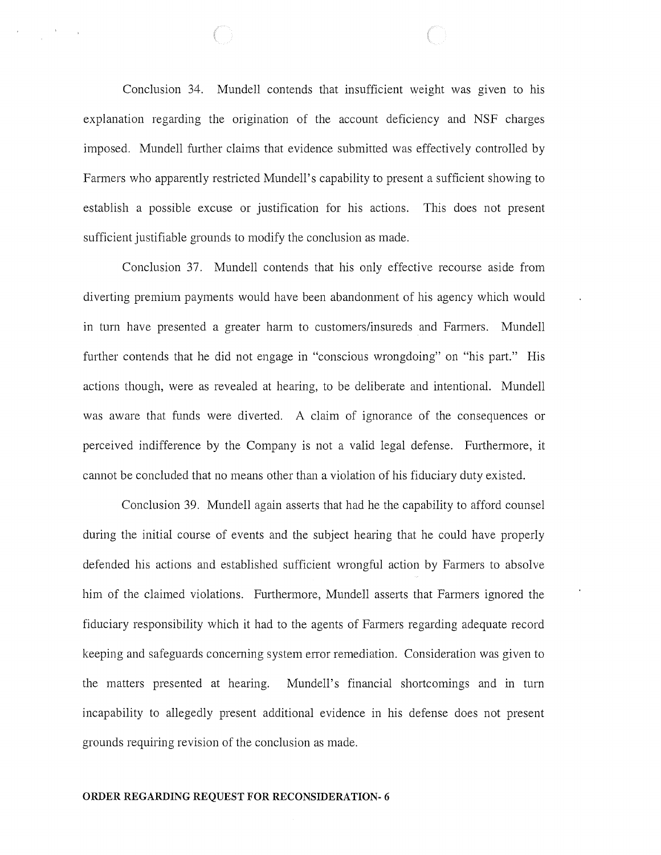Conclusion 34. Mundell contends that insufficient weight was given to his explanation regarding the origination of the account deficiency and NSF charges imposed. Mundell further claims that evidence submitted was effectively controlled by Farmers who apparently restricted Mundell's capability to present a sufficient showing to establish a possible excuse or justification for his actions. This does not present sufficient justifiable grounds to modify the conclusion as made.

Conclusion 37. Mundell contends that his only effective recourse aside from diverting premium payments would have been abandonment of his agency which would in turn have presented a greater harm to customers/insureds and Farmers. Mundell further contends that he did not engage in "conscious wrongdoing" on "his part." His actions though, were as revealed at hearing, to be deliberate and intentional. Mundell was aware that funds were diverted. A claim of ignorance of the consequences or perceived indifference by the Company is not a valid legal defense. Furthermore, it cannot be concluded that no means other than a violation of his fiduciary duty existed.

Conclusion 39. Mundell again asserts that had he the capability to afford counsel during the initial course of events and the subject hearing that he could have properly defended his actions and established sufficient wrongful action by Farmers to absolve him of the claimed violations. Furthermore, Mundell asserts that Farmers ignored the fiduciary responsibility which it had to the agents of Farmers regarding adequate record keeping and safeguards concerning system error remediation. Consideration was given to the matters presented at hearing. Mundell's financial shortcomings and in turn incapability to allegedly present additional evidence in his defense does not present grounds requiring revision of the conclusion as made.

#### **ORDER REGARDING REQUEST FOR RECONSIDERATION- 6**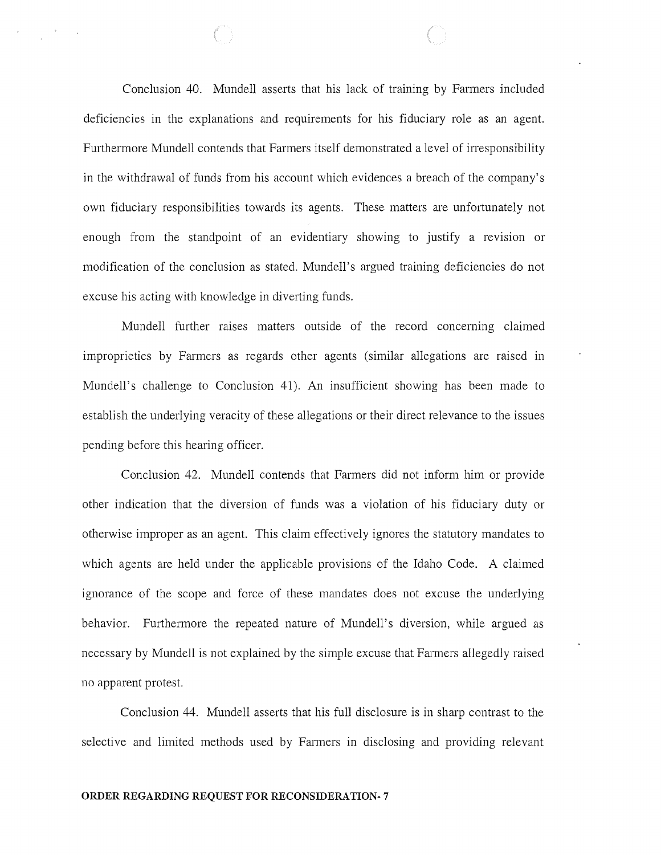Conclusion 40. Mundell asserts that his lack of training by Farmers included deficiencies in the explanations and requirements for his fiduciary role as an agent. Furthermore Mundell contends that Farmers itself demonstrated a level of irresponsibility in the withdrawal of funds from his account which evidences a breach of the company's own fiduciary responsibilities towards its agents. These matters are unfortunately not enough from the standpoint of an evidentiary showing to justify a revision or modification of the conclusion as stated. Mundell's argued training deficiencies do not excuse his acting with knowledge in diverting funds.

Mundell further raises matters outside of the record concerning claimed improprieties by Farmers as regards other agents (similar allegations are raised in Mundell's challenge to Conclusion 41). An insufficient showing has been made to establish the underlying veracity of these allegations or their direct relevance to the issues pending before this hearing officer.

Conclusion 42. Mundell contends that Farmers did not inform him or provide other indication that the diversion of funds was a violation of his fiduciary duty or otherwise improper as an agent. This claim effectively ignores the statutory mandates to which agents are held under the applicable provisions of the Idaho Code. A claimed ignorance of the scope and force of these mandates does not excuse the underlying behavior. Furthermore the repeated nature of Mundell's diversion, while argued as necessary by Mundell is not explained by the simple excuse that Farmers allegedly raised no apparent protest.

Conclusion 44. Mundell asserts that his full disclosure is in sharp contrast to the selective and limited methods used by Farmers in disclosing and providing relevant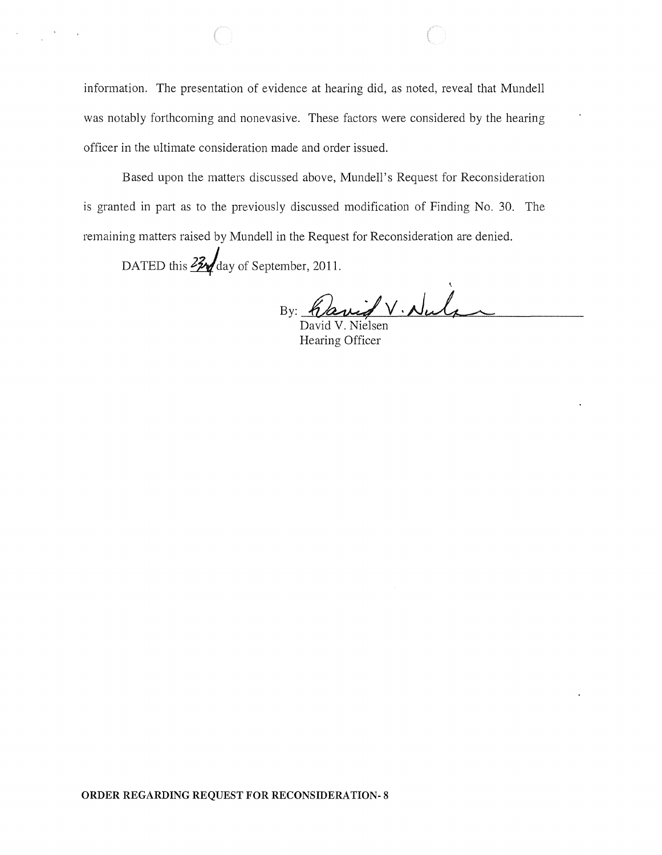information. The presentation of evidence at hearing did, as noted, reveal that Mundell was notably forthcoming and nonevasive. These factors were considered by the hearing officer in the ultimate consideration made and order issued.

Based upon the matters discussed above, Mundell's Request for Reconsideration is granted in part as to the previously discussed modification of Finding No. 30. The remaining matters raised by Mundell in the Request for Reconsideration are denied.

DATED this  $22\frac{1}{2}$  day of September, 2011.

By: Canif V. Nule

Hearing Officer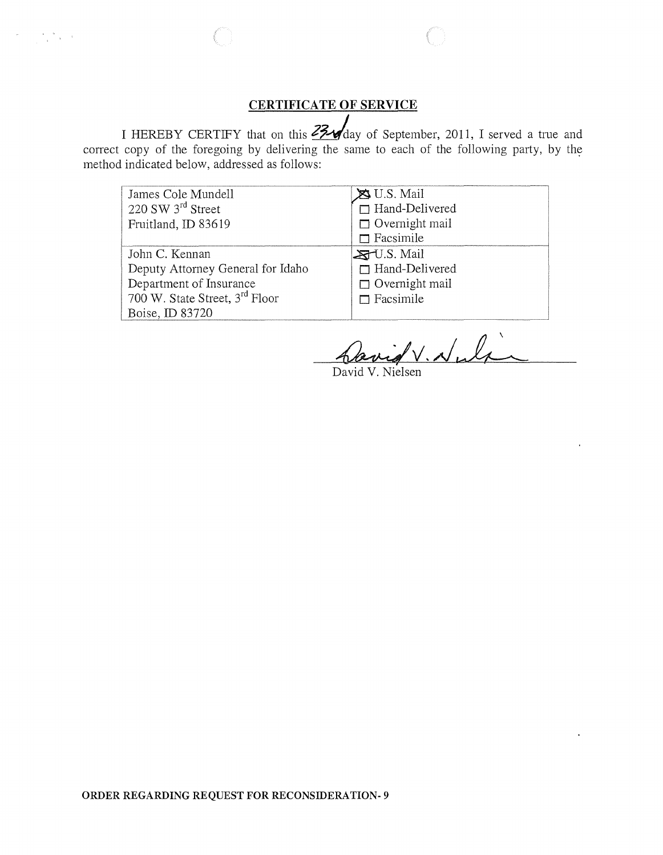# **CERTIFICATE OF SERVICE**

 $\label{eq:Ricci} \left\langle \mathcal{P}^{\text{c}} \right\rangle = \left\langle \mathcal{P}^{\text{c}} \right\rangle \left\langle \mathcal{P}^{\text{c}} \right\rangle \left\langle \mathcal{P}^{\text{c}} \right\rangle \left\langle \mathcal{P}^{\text{c}} \right\rangle$ 

I HEREBY CERTIFY that on this  $23\sqrt{2}$  day of September, 2011, I served a true and correct copy of the foregoing by delivering the same to each of the following party, by the method indicated below, addressed as follows:

| James Cole Mundell                         | $\bigotimes$ U.S. Mail |
|--------------------------------------------|------------------------|
| $220$ SW $3rd$ Street                      | $\Box$ Hand-Delivered  |
| Fruitland, ID 83619                        | $\Box$ Overnight mail  |
|                                            | $\Box$ Facsimile       |
| John C. Kennan                             | $ZU.S.$ Mail           |
| Deputy Attorney General for Idaho          | $\Box$ Hand-Delivered  |
| Department of Insurance                    | $\Box$ Overnight mail  |
| 700 W. State Street, 3 <sup>rd</sup> Floor | $\Box$ Facsimile       |
| Boise, ID 83720                            |                        |

David V. Nuli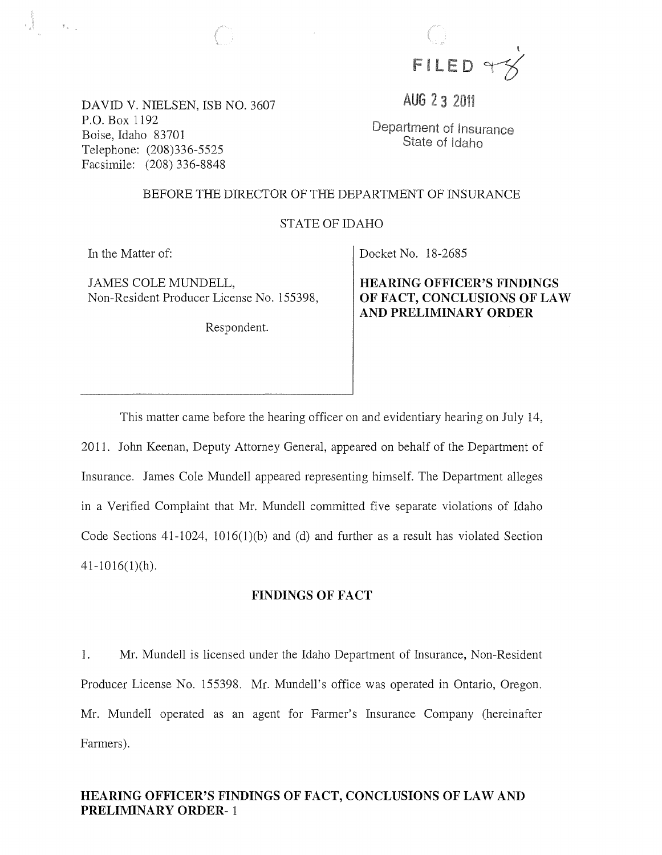FILED YX

AUG 2 3 2011

DAVID V. NIELSEN, ISB NO. 3607 P.O. Box 1192 Boise, Idaho 83701 Telephone: (208)336-5525 Facsimile: (208) 336-8848

Department of Insurance State of Idaho

#### BEFORE THE DIRECTOR OF THE DEPARTMENT OF INSURANCE

 $\sim$ 

### STATE OF IDAHO

In the Matter of:

 $\mathbb{R}^n \times \mathbb{R}^n$ 

JAMES COLE MUNDELL, Non-Resident Producer License No. 155398,

Respondent.

Docket No. 18-2685

HEARING OFFICER'S FINDINGS OF FACT, CONCLUSIONS OF LAW AND PRELIMINARY ORDER

This matter came before the hearing officer on and evidentiary hearing on July 14, 2011. John Keenan, Deputy Attorney General, appeared on behalf of the Department of Insurance. James Cole Mundell appeared representing himself. The Department alleges in a Verified Complaint that Mr. Mundell committed five separate violations of Idaho Code Sections  $41-1024$ ,  $1016(1)(b)$  and (d) and further as a result has violated Section  $41-1016(1)(h)$ .

#### FINDINGS OF FACT

1. Mr. Mundell is licensed under the Idaho Department of Insurance, Non-Resident Producer License No. 155398. Mr. Mundell's office was operated in Ontario, Oregon. Mr. Mundell operated as an agent for Farmer's Insurance Company (hereinafter Farmers).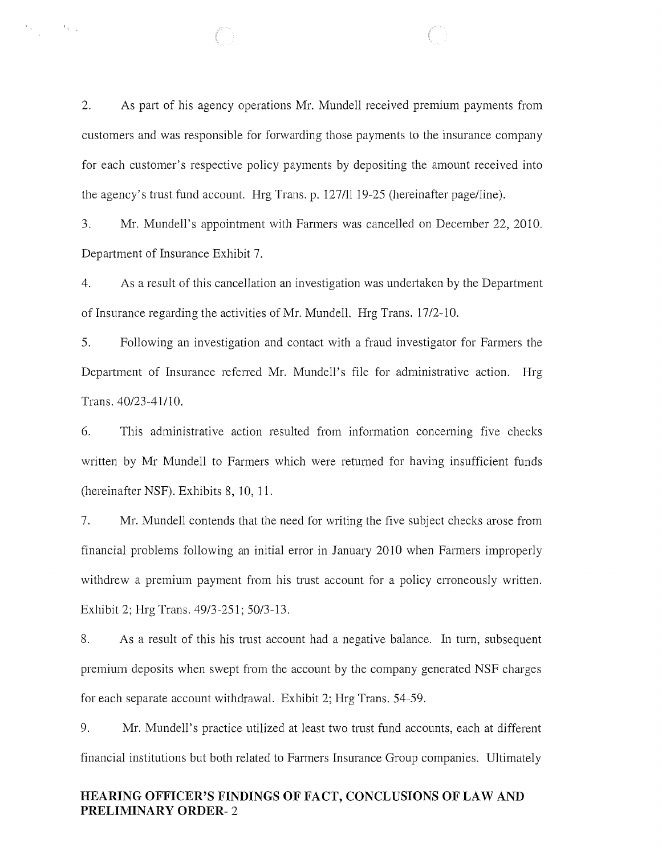2. As part of his agency operations Mr. Mundell received premium payments from customers and was responsible for forwarding those payments to the insurance company for each customer's respective policy payments by depositing the amount received into the agency's trust fund account. Hrg Trans. p. 127/II 19-25 (hereinafter page/line).

 $\mathcal{A}_{\mathbf{r}_{\mathrm{max}}}$ 

3. Mr. Mundell's appointment with Farmers was cancelled on December 22, 2010. Department of Insurance Exhibit 7.

4. As a result of this cancellation an investigation was undertaken by the Department of Insurance regarding the activities of Mr. Mundell. Hrg Trans. 17/2-10.

5. Following an investigation and contact with a fraud investigator for Farmers the Department of Insurance referred Mr. Mundell's file for administrative action. Hrg Trans. 40/23-41110.

6. This administrative action resulted from information concerning five checks written by Mr Mundell to Farmers which were returned for having insufficient funds (hereinafter NSF). Exhibits 8, 10, 11.

7. Mr. Mundell contends that the need for writing the five subject checks arose from financial problems following an initial error in January 2010 when Farmers improperly withdrew a premium payment from his trust account for a policy erroneously written. Exhibit 2; Hrg Trans. 49/3-251; 50/3-13.

8. As a result of this his trust account had a negative balance. In turn, subsequent premium deposits when swept from the account by the company generated NSF charges for each separate account withdrawal. Exhibit 2; Hrg Trans. 54-59.

9. Mr. Mundell's practice utilized at least two trust fund accounts, each at different financial institutions but both related to Farmers Insurance Group companies. Ultimately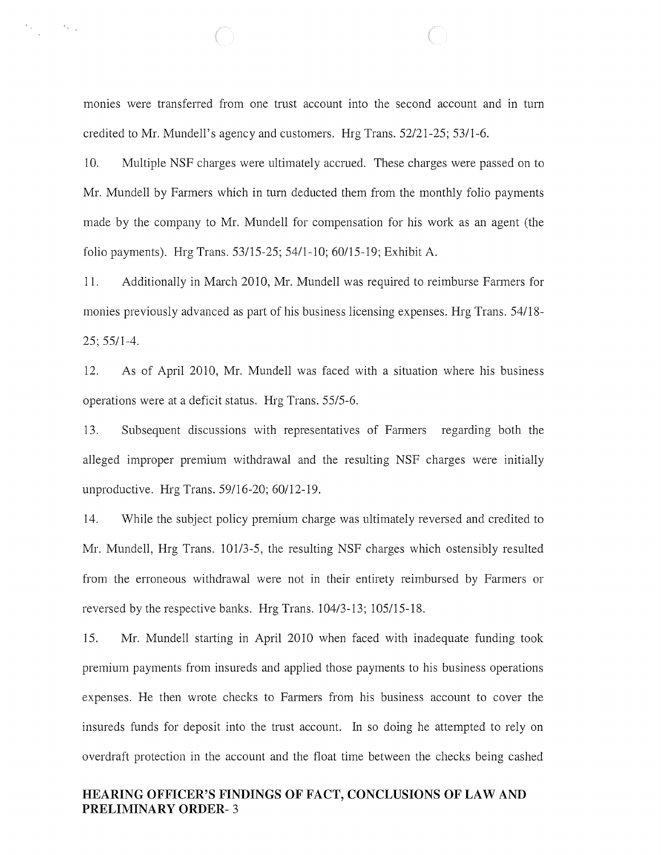monies were transferred from one trust account into the second account and in turn credited to Mr. Mundell's agency and customers. Hrg Trans. *52121-25; 53/1-6.* 

 $\mathbb{P}_{\mathcal{A}^{\text{out}}_{\text{out}}}$  , where  $\mathbb{P}_{\mathcal{A}^{\text{out}}_{\text{out}}}$ 

10. Multiple NSF charges were ultimately accrued. These charges were passed on to Mr. Mundell by Farmers which in tum deducted them from the monthly folio payments made by the company to Mr. Mundell for compensation for his work as an agent (the folio payments). Hrg Trans. 53/15-25; 54/1-10; 60/15-19; Exhibit A.

11. Additionally in March 2010, Mr. Mundell was required to reimburse Farmers for monies previously advanced as part of his business licensing expenses. Hrg Trans. 54/18- 25; 55/1-4.

12. As of April 2010, Mr. Mundell was faced with a situation where his business operations were at a deficit status. Hrg Trans. 55/5-6.

13. Subsequent discussions with representatives of Farmers regarding both the alleged improper premium withdrawal and the resulting NSF charges were initially unproductive. Hrg Trans. 59/16-20; 60/12-19.

14. While the subject policy premium charge was ultimately reversed and credited to Mr. Mundell, Hrg Trans. 101/3-5, the resulting NSF charges which ostensibly resulted from the erroneous withdrawal were not in their entirety reimbursed by Farmers or reversed by the respective banks. Hrg Trans. 104/3-13; 105/15-18.

15. Mr. Mundell starting in April 2010 when faced with inadequate funding took premium payments from insureds and applied those payments to his business operations expenses. He then wrote checks to Farmers from his business account to cover the insureds funds for deposit into the trust account. In so doing he attempted to rely on overdraft protection in the account and the float time between the checks being cashed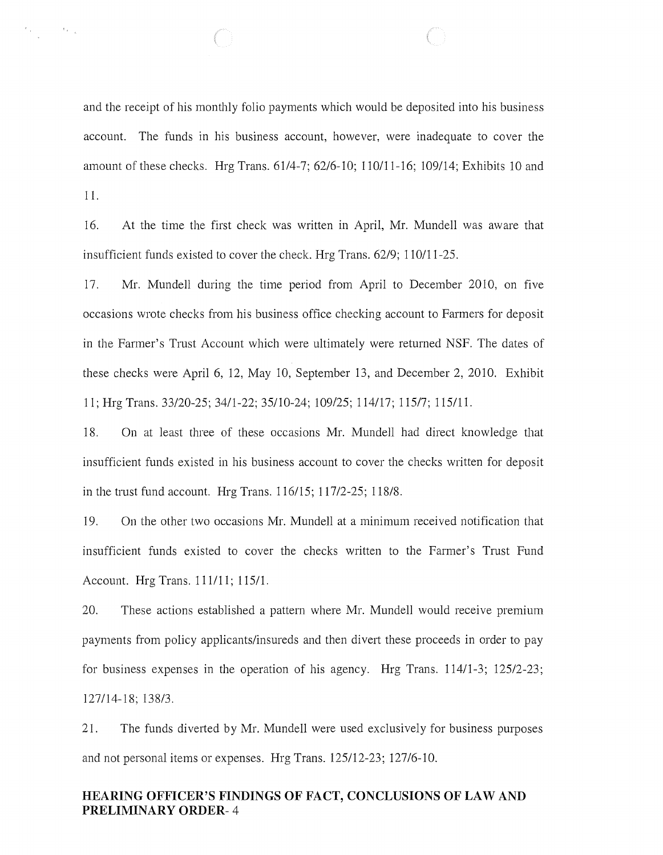and the receipt of his monthly folio payments which would be deposited into his business account. The funds in his business account, however, were inadequate to cover the amount of these checks. Hrg Trans. 61/4-7; 62/6-10; 110/11-16; 109/14; Exhibits 10 and 11.

 $\mathbb{R}^{\frac{1}{2}}$  ,

16. At the time the first check was written in April, Mr. Mundell was aware that insufficient funds existed to cover the check. Hrg Trans. 62/9; 110/11-25.

17. Mr. Mundell during the time period from April to December 2010, on five occasions wrote checks from his business office checking account to Farmers for deposit in the Farmer's Trust Account which were ultimately were returned NSF. The dates of these checks were April 6, 12, May 10, September 13, and December 2, 2010. Exhibit 11; Hrg Trans. 33/20-25; 34/1-22; 35/10-24; 109/25; 114/17; 115/7; 115/11.

18. On at least three of these occasions Mr. Mundell had direct knowledge that insufficient funds existed in his business account to cover the checks written for deposit in the trust fund account. Hrg Trans. 116/15; 117/2-25; 118/8.

19. On the other two occasions Mr. Mundell at a minimum received notification that insufficient funds existed to cover the checks written to the Farmer's Trust Fund Account. Hrg Trans. 111/11; 115/1.

20. These actions established a pattern where Mr. Mundell would receive premium payments from policy applicants/insureds and then divert these proceeds in order to pay for business expenses in the operation of his agency. Hrg Trans. 114/1-3; 12512-23; 127/14-18; 138/3.

21. The funds diverted by Mr. Mundell were used exclusively for business purposes and not personal items or expenses. Hrg Trans. 125/12-23; 127/6-10.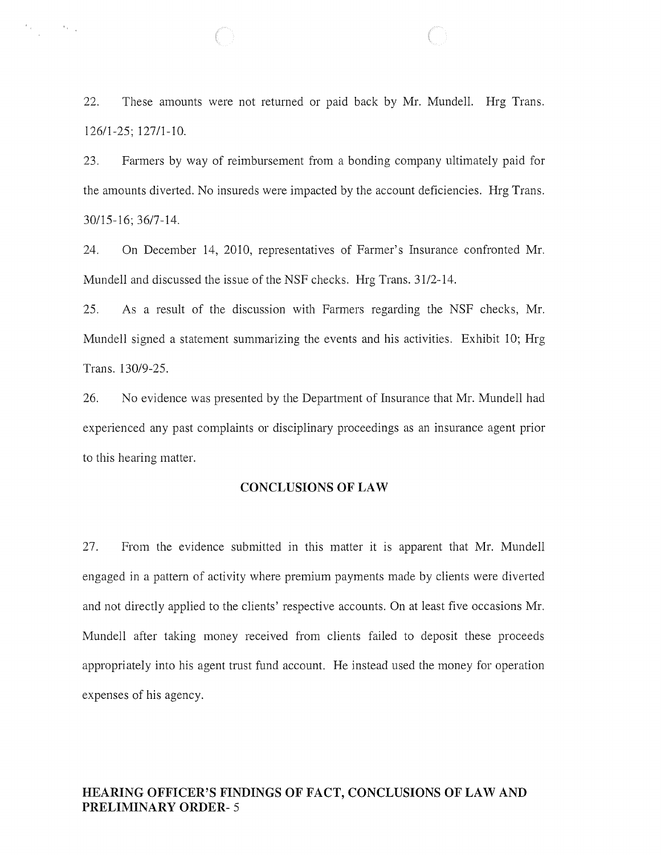22. These amounts were not returned or paid back by Mr. Mundell. Hrg Trans. 126/1-25; 12711-10.

 $\label{eq:2.1} \mathcal{F}_{\mathcal{A}}(\mathcal{F}_{\mathcal{A}}) = \mathcal{F}_{\mathcal{A}}(\mathcal{F}_{\mathcal{A}})$ 

23. Farmers by way of reimbursement from a bonding company ultimately paid for the amounts diverted. No insureds were impacted by the account deficiencies. Hrg Trans. 30115-16; 36/7-14.

24. On December 14, 2010, representatives of Farmer's Insurance confronted Mr. Mundell and discussed the issue of the NSF checks. Hrg Trans. 31/2-14.

25. As a result of the discussion with Farmers regarding the NSF checks, Mr. Mundell signed a statement summarizing the events and his activities. Exhibit 10; Hrg Trans. 130/9-25.

26. No evidence was presented by the Department of Insurance that Mr. Mundell had experienced any past complaints or disciplinary proceedings as an insurance agent prior to this hearing matter.

# **CONCLUSIONS OF LAW**

27. From the evidence submitted in this matter it is apparent that Mr. Mundell engaged in a pattern of activity where premium payments made by clients were diverted and not directly applied to the clients' respective accounts. On at least five occasions Mr. Mundell after taking money received from clients failed to deposit these proceeds appropriately into his agent trust fund account. He instead used the money for operation expenses of his agency.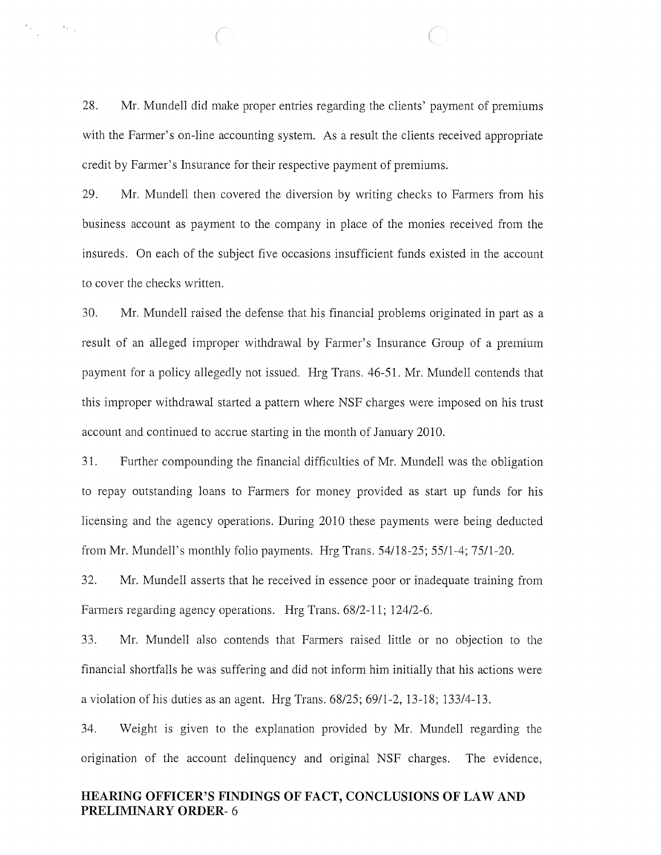28. Mr. Mundell did make proper entries regarding the clients' payment of premiums with the Farmer's on-line accounting system. As a result the clients received appropriate credit by Farmer's Insurance for their respective payment of premiums.

 $\begin{array}{ccccc} \mathbf{z}_{(1)} & & & \mathbf{z}_{(2)} \\ & & & \mathbf{z}_{(3)} \\ & & & \mathbf{z}_{(4)} \end{array}$ 

29. Mr. Mundell then covered the diversion by writing checks to Farmers from his business account as payment to the company in place of the monies received from the insureds. On each of the subject five occasions insufficient funds existed in the account to cover the checks written.

30. Mr. Mundell raised the defense that his financial problems originated in part as a result of an alleged improper withdrawal by Farmer's Insurance Group of a premium payment for a policy allegedly not issued. Hrg Trans. 46-51. Mr. Mundell contends that this improper withdrawal started a pattern where NSF charges were imposed on his trust account and continued to accrue starting in the month of January 2010.

31. Further compounding the financial difficulties of Mr. Mundell was the obligation to repay outstanding loans to Farmers for money provided as start up funds for his licensing and the agency operations. During 2010 these payments were being deducted from Mr. Mundell's monthly folio payments. Hrg Trans. 54118-25; 5511-4; 7511-20.

32. Mr. Mundell asserts that he received in essence poor or inadequate training from Farmers regarding agency operations. Hrg Trans. 6812-11; 124/2-6.

33. Mr. Mundell also contends that Farmers raised little or no objection to the financial shortfalls he was suffering and did not inform him initially that his actions were a violation of his duties as an agent. Hrg Trans.  $68/25$ ;  $69/1-2$ ,  $13-18$ ;  $133/4-13$ .

34. Weight is given to the explanation provided by Mr. Mundell regarding the origination of the account delinquency and original NSF charges. The evidence,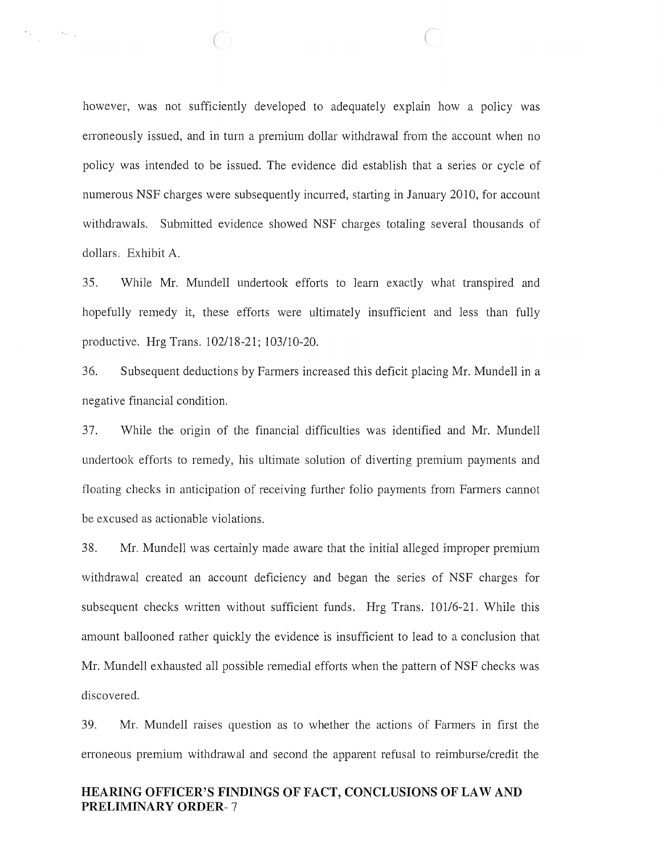however, was not sufficiently developed to adequately explain how a policy was erroneously issued, and in turn a premium dollar withdrawal from the account when no policy was intended to be issued. The evidence did establish that a series or cycle of numerous NSF charges were subsequently incurred, starting in January 2010, for account withdrawals. Submitted evidence showed NSF charges totaling several thousands of dollars. Exhibit A.

 $\left\langle \left\langle \mathbf{v}_{k}\right\rangle \right\rangle _{k}$ 

35. While Mr. Mundell undertook efforts to learn exactly what transpired and hopefully remedy it, these efforts were ultimately insufficient and less than fully productive. Hrg Trans. 102118-21; 103/10-20.

36. Subsequent deductions by Farmers increased this deficit placing Mr. Mundell in a negative financial condition.

37. While the origin of the financial difficulties was identified and Mr. Mundell undertook efforts to remedy, his ultimate solution of diverting premium payments and floating checks in anticipation of receiving further folio payments from Farmers cannot be excused as actionable violations.

38. Mr. Mundell was certainly made aware that the initial alleged improper premium withdrawal created an account deficiency and began the series of NSF charges for subsequent checks written without sufficient funds. Hrg Trans. 101/6-21. While this amount ballooned rather quickly the evidence is insufficient to lead to a conclusion that Mr. Mundell exhausted all possible remedial efforts when the pattern of NSF checks was discovered.

39. Mr. Mundell raises question as to whether the actions of Farmers in first the erroneous premium withdrawal and second the apparent refusal to reimburse/credit the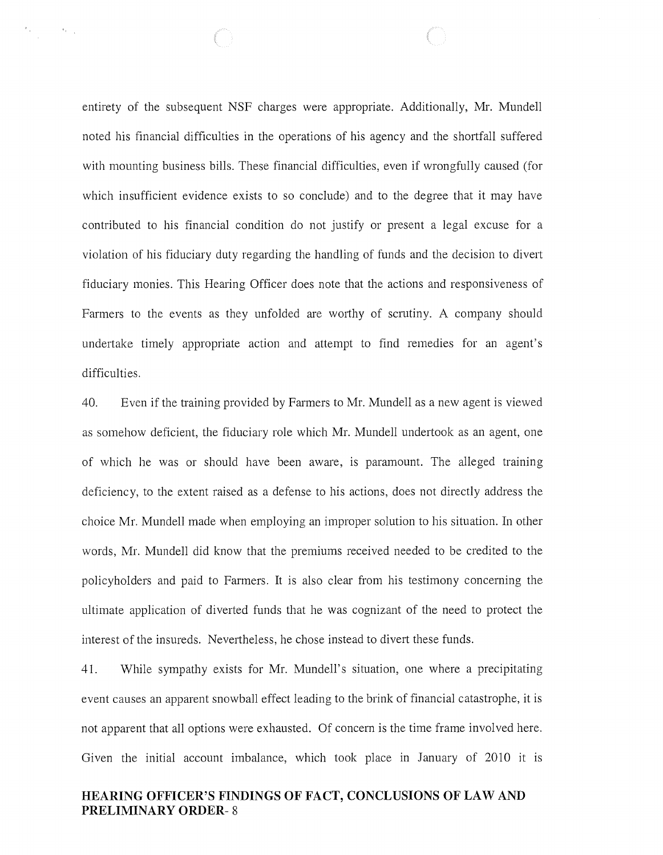entirety of the subsequent NSF charges were appropriate. Additionally, Mr. Mundell noted his financial difficulties in the operations of his agency and the shortfall suffered with mounting business bills. These financial difficulties, even if wrongfully caused (for which insufficient evidence exists to so conclude) and to the degree that it may have contributed to his financial condition do not justify or present a legal excuse for a violation of his fiduciary duty regarding the handling of funds and the decision to divert fiduciary monies. This Hearing Officer does note that the actions and responsiveness of Farmers to the events as they unfolded are worthy of scrutiny. A company should undertake timely appropriate action and attempt to find remedies for an agent's difficulties.

 $\mathcal{A}_{\mathcal{F}_{\mathcal{F}_{\mathcal{A},\mathcal{C}}}}$ 

40. Even if the training provided by Farmers to Mr. Mundell as a new agent is viewed as somehow deficient, the fiduciary role which Mr. Mundell undertook as an agent, one of which he was or should have been aware, is paramount. The alleged training deficiency, to the extent raised as a defense to his actions, does not directly address the choice Mr. Mundell made when employing an improper solution to his situation. In other words, Mr. Mundell did know that the premiums received needed to be credited to the policyholders and paid to Farmers. It is also clear from his testimony concerning the ultimate application of diverted funds that he was cognizant of the need to protect the interest of the insureds. Nevertheless, he chose instead to divert these funds.

41. While sympathy exists for Mr. Mundell's situation, one where a precipitating event causes an apparent snowball effect leading to the brink of financial catastrophe, it is not apparent that all options were exhausted. Of concern is the time frame involved here. Given the initial account imbalance, which took place in January of 2010 it is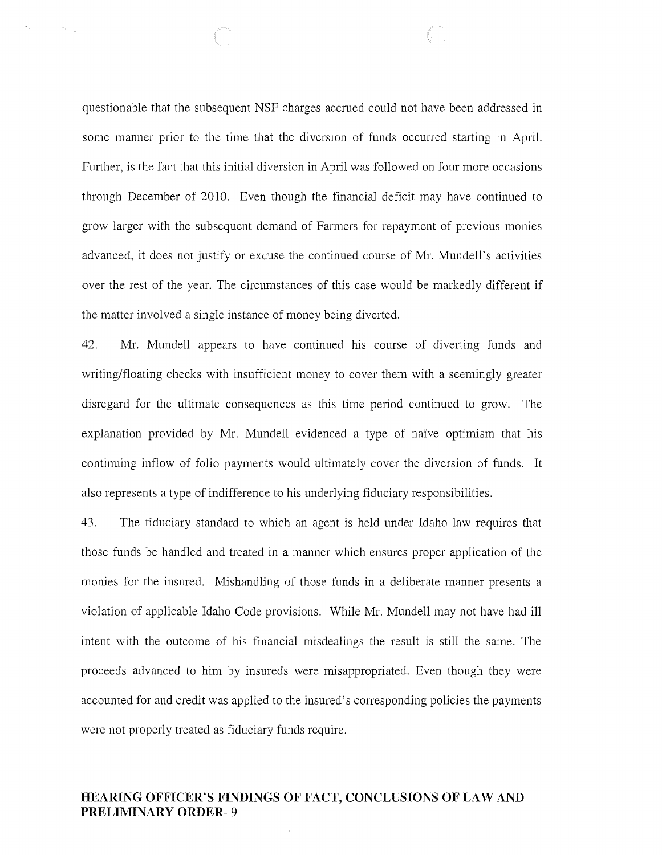questionable that the subsequent NSF charges accrued could not have been addressed in some manner prior to the time that the diversion of funds occurred starting in April. Further, is the fact that this initial diversion in April was followed on four more occasions through December of 2010. Even though the financial deficit may have continued to grow larger with the subsequent demand of Farmers for repayment of previous monies advanced, it does not justify or excuse the continued course of Mr. Mundell's activities over the rest of the year. The circumstances of this case would be markedly different if the matter involved a single instance of money being diverted.

 $\mathcal{A}_{\mathcal{K}^{\text{out}}_{\mathcal{K}^{\text{out}}_{\mathcal{K}}}}$ 

42. Mr. Mundell appears to have continued his course of diverting funds and writing/floating checks with insufficient money to cover them with a seemingly greater disregard for the ultimate consequences as this time period continued to grow. The explanation provided by Mr. Mundell evidenced a type of naïve optimism that his continuing inflow of folio payments would ultimately cover the diversion of funds. **It**  also represents a type of indifference to his underlying fiduciary responsibilities.

43. The fiduciary standard to which an agent is held under Idaho law requires that those funds be handled and treated in a manner which ensures proper application of the monies for the insured. Mishandling of those funds in a deliberate manner presents a violation of applicable Idaho Code provisions. While Mr. Mundell may not have had ill intent with the outcome of his financial misdealings the result is still the same. The proceeds advanced to him by insureds were misappropriated. Even though they were accounted for and credit was applied to the insured's corresponding policies the payments were not properly treated as fiduciary funds require.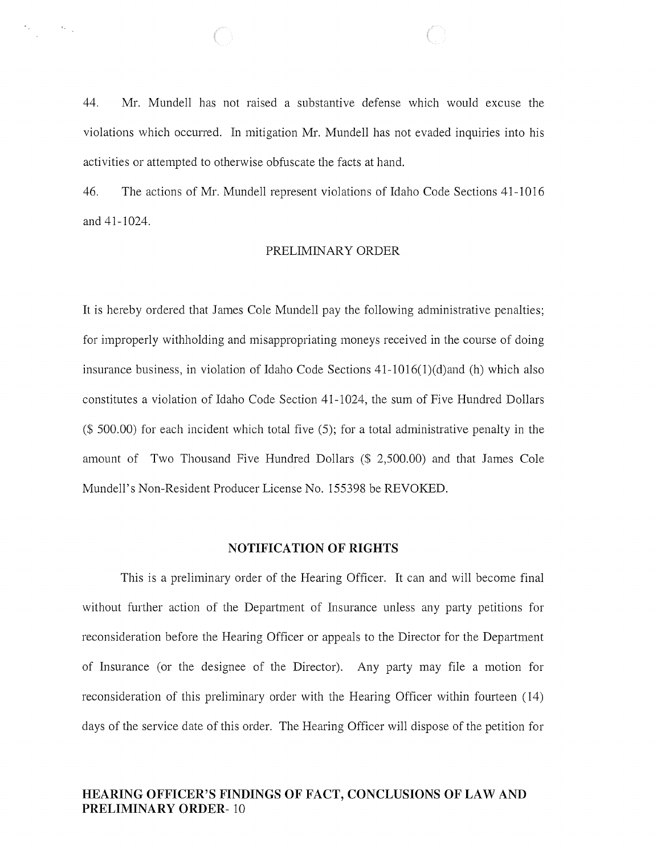44. Mr. Mundell has not raised a substantive defense which would excuse the violations which occurred. In mitigation Mr. Mundell has not evaded inquiries into his activities or attempted to otherwise obfuscate the facts at hand.

 $\mathbf{v}_{k+1}$ 

46. The actions of Mr. Mundell represent violations of Idaho Code Sections 41-1016 and 41-1024.

#### PRELIMINARY ORDER

It is hereby ordered that James Cole Mundell pay the following administrative penalties; for improperly withholding and misappropriating moneys received in the course of doing insurance business, in violation of Idaho Code Sections  $41-1016(1)(d)$  and (h) which also constitutes a violation of Idaho Code Section 41-1024, the sum of Five Hundred Dollars (\$ 500.00) for each incident which total five (5); for a total administrative penalty in the amount of Two Thousand Five Hundred Dollars (\$ 2,500.00) and that James Cole Mundell's Non-Resident Producer License No. 155398 be REVOKED.

### **NOTIFICATION OF RIGHTS**

This is a preliminary order of the Hearing Officer. It can and will become final without further action of the Department of Insurance unless any party petitions for reconsideration before the Hearing Officer or appeals to the Director for the Department of Insurance (or the designee of the Director). Any party may file a motion for reconsideration of this preliminary order with the Hearing Officer within fourteen (14) days of the service date of this order. The Hearing Officer will dispose of the petition for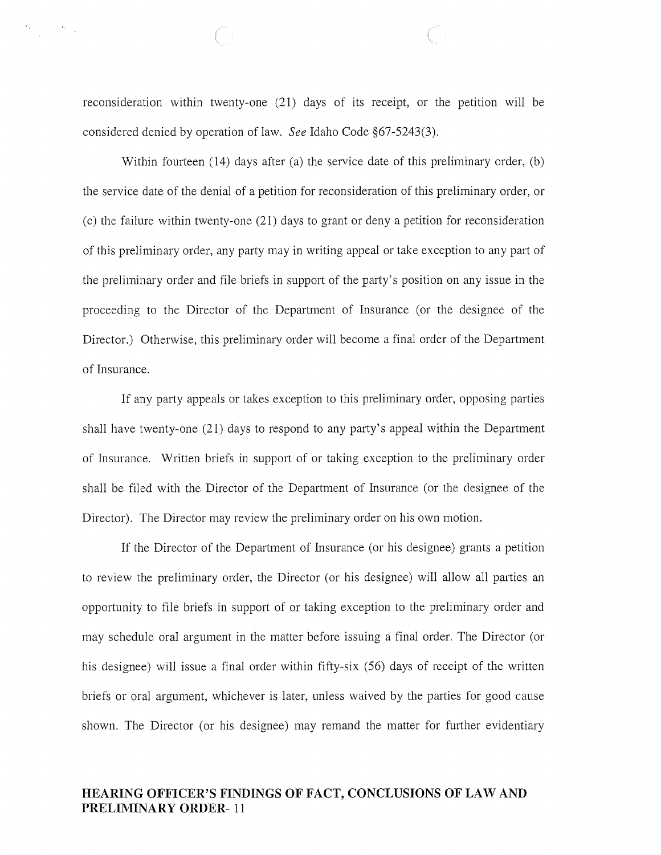reconsideration within twenty-one (21) days of its receipt, or the petition will be considered denied by operation of law. *See* Idaho Code §67-5243(3).

 $\begin{array}{ccccc} \mathbf{g}_{\mathcal{A}} & & & \mathbf{g}_{\mathcal{A}} & \\ & & & \mathbf{g}_{\mathcal{A}} & \\ & & & \mathbf{g}_{\mathcal{A}} & \\ & & & \mathbf{g}_{\mathcal{A}} & \\ \end{array}$ 

Within fourteen (14) days after (a) the service date of this preliminary order, (b) the service date of the denial of a petition for reconsideration of this preliminary order, or (c) the failure within twenty-one (21) days to grant or deny a petition for reconsideration of this preliminary order, any party may in writing appeal or take exception to any part of the preliminary order and file briefs in support of the party's position on any issue in the proceeding to the Director of the Department of Insurance (or the designee of the Director.) Otherwise, this preliminary order will become a final order of the Department of Insurance.

If any party appeals or takes exception to this preliminary order, opposing parties shall have twenty-one (21) days to respond to any party's appeal within the Department of Insurance. Written briefs in support of or taking exception to the preliminary order shall be filed with the Director of the Department of Insurance (or the designee of the Director). The Director may review the preliminary order on his own motion.

If the Director of the Department of Insurance (or his designee) grants a petition to review the preliminary order, the Director (or his designee) will allow all parties an opportunity to file briefs in support of or taking exception to the preliminary order and may schedule oral argument in the matter before issuing a final order. The Director (or his designee) will issue a final order within fifty-six (56) days of receipt of the written briefs or oral argument, whichever is later, unless waived by the parties for good cause shown. The Director (or his designee) may remand the matter for further evidentiary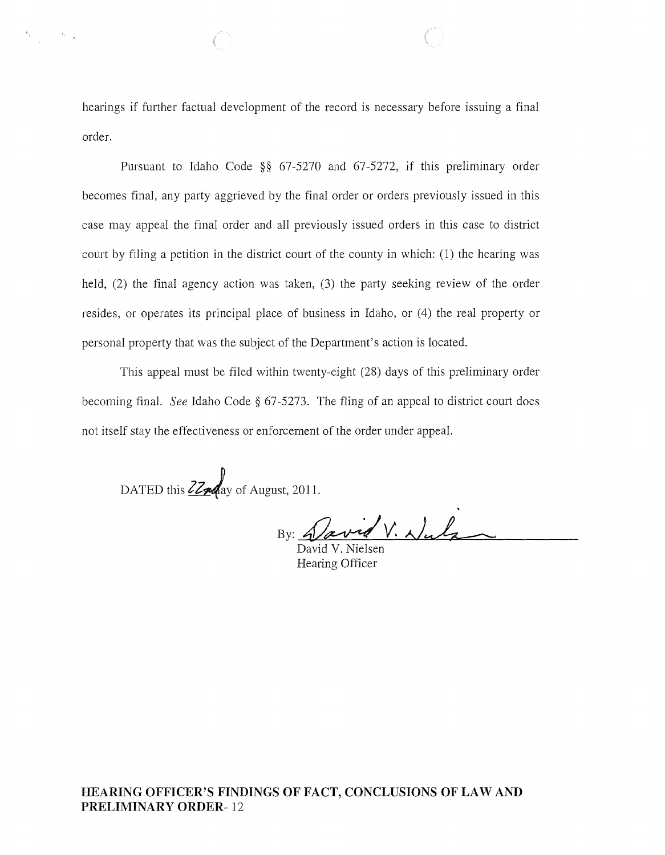hearings if further factual development of the record is necessary before issuing a final order.

Pursuant to Idaho Code §§ 67-5270 and 67-5272, if this preliminary order becomes final, any party aggrieved by the final order or orders previously issued in this case may appeal the final order and all previously issued orders in this case to district court by filing a petition in the district court of the county in which: (1) the hearing was held, (2) the final agency action was taken, (3) the party seeking review of the order resides, or operates its principal place of business in Idaho, or (4) the real property or personal property that was the subject of the Department's action is located.

This appeal must be filed within twenty-eight (28) days of this preliminary order becoming final. *See* Idaho Code § 67-5273. The fling of an appeal to district court does not itself stay the effectiveness or enforcement of the order under appeal.

DATED this  $\frac{Z}{Z}$  ay of August, 2011.

 $\sim 50\%$ 

By: Javid V. Nuls

David V. Nielsen Hearing Officer